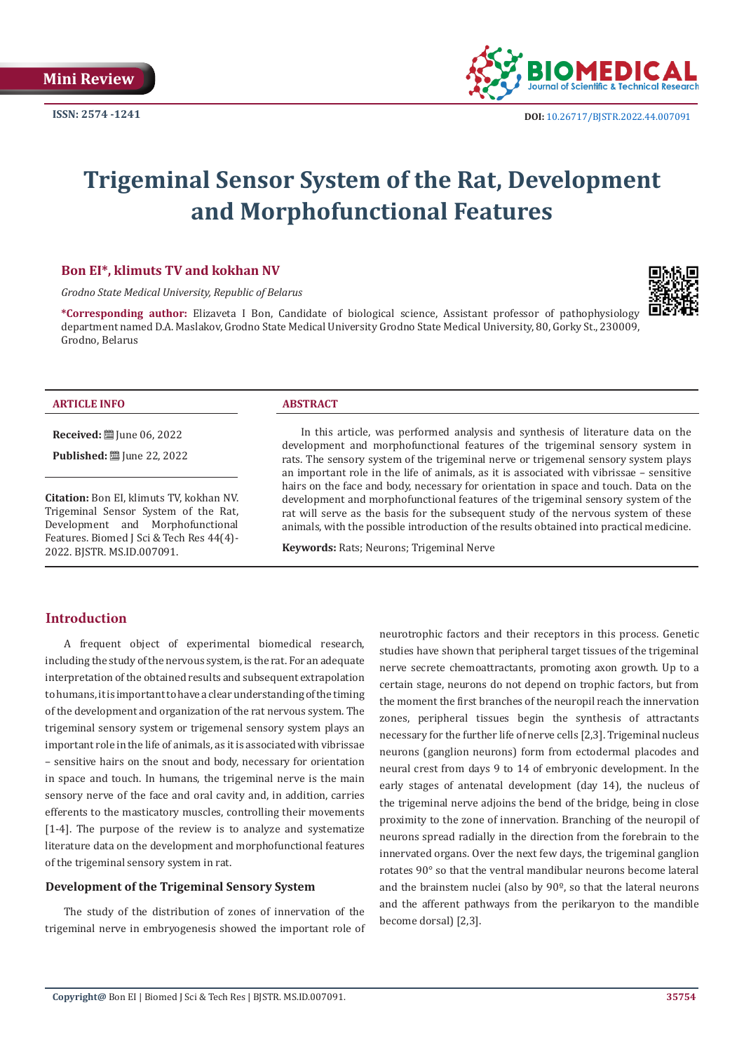

# **Trigeminal Sensor System of the Rat, Development and Morphofunctional Features**

# **Bon EI\*, klimuts TV and kokhan NV**

*Grodno State Medical University, Republic of Belarus*

**\*Corresponding author:** Elizaveta I Bon, Candidate of biological science, Assistant professor of pathophysiology department named D.A. Maslakov, Grodno State Medical University Grodno State Medical University, 80, Gorky St., 230009, Grodno, Belarus



#### **ARTICLE INFO ABSTRACT**

**Received:** ■ June 06, 2022

**Published:** [Une 22, 2022]

**Citation:** Bon EI, klimuts TV, kokhan NV. Trigeminal Sensor System of the Rat, Development and Morphofunctional Features. Biomed J Sci & Tech Res 44(4)- 2022. BJSTR. MS.ID.007091.

In this article, was performed analysis and synthesis of literature data on the development and morphofunctional features of the trigeminal sensory system in rats. The sensory system of the trigeminal nerve or trigemenal sensory system plays an important role in the life of animals, as it is associated with vibrissae – sensitive hairs on the face and body, necessary for orientation in space and touch. Data on the development and morphofunctional features of the trigeminal sensory system of the rat will serve as the basis for the subsequent study of the nervous system of these animals, with the possible introduction of the results obtained into practical medicine.

**Keywords:** Rats; Neurons; Trigeminal Nerve

# **Introduction**

A frequent object of experimental biomedical research, including the study of the nervous system, is the rat. For an adequate interpretation of the obtained results and subsequent extrapolation to humans, it is important to have a clear understanding of the timing of the development and organization of the rat nervous system. The trigeminal sensory system or trigemenal sensory system plays an important role in the life of animals, as it is associated with vibrissae – sensitive hairs on the snout and body, necessary for orientation in space and touch. In humans, the trigeminal nerve is the main sensory nerve of the face and oral cavity and, in addition, carries efferents to the masticatory muscles, controlling their movements [1-4]. The purpose of the review is to analyze and systematize literature data on the development and morphofunctional features of the trigeminal sensory system in rat.

### **Development of the Trigeminal Sensory System**

The study of the distribution of zones of innervation of the trigeminal nerve in embryogenesis showed the important role of neurotrophic factors and their receptors in this process. Genetic studies have shown that peripheral target tissues of the trigeminal nerve secrete chemoattractants, promoting axon growth. Up to a certain stage, neurons do not depend on trophic factors, but from the moment the first branches of the neuropil reach the innervation zones, peripheral tissues begin the synthesis of attractants necessary for the further life of nerve cells [2,3]. Trigeminal nucleus neurons (ganglion neurons) form from ectodermal placodes and neural crest from days 9 to 14 of embryonic development. In the early stages of antenatal development (day 14), the nucleus of the trigeminal nerve adjoins the bend of the bridge, being in close proximity to the zone of innervation. Branching of the neuropil of neurons spread radially in the direction from the forebrain to the innervated organs. Over the next few days, the trigeminal ganglion rotates 90° so that the ventral mandibular neurons become lateral and the brainstem nuclei (also by 90º, so that the lateral neurons and the afferent pathways from the perikaryon to the mandible become dorsal) [2,3].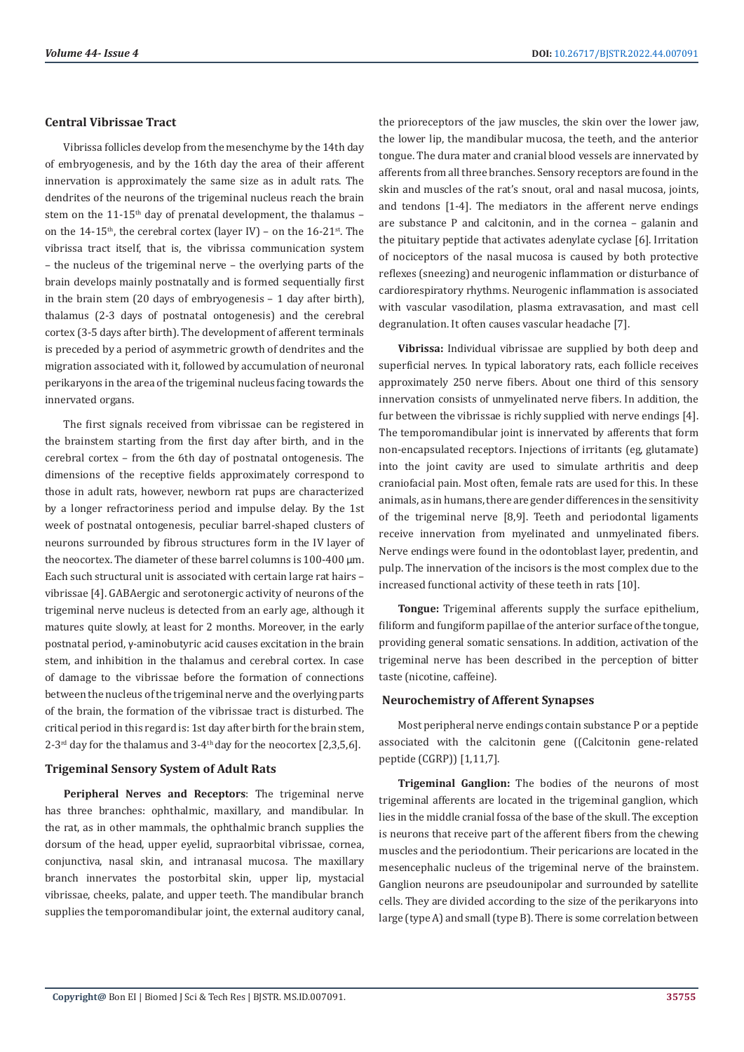#### **Central Vibrissae Tract**

Vibrissa follicles develop from the mesenchyme by the 14th day of embryogenesis, and by the 16th day the area of their afferent innervation is approximately the same size as in adult rats. The dendrites of the neurons of the trigeminal nucleus reach the brain stem on the  $11-15<sup>th</sup>$  day of prenatal development, the thalamus – on the 14-15<sup>th</sup>, the cerebral cortex (layer IV) – on the  $16-21$ <sup>st</sup>. The vibrissa tract itself, that is, the vibrissa communication system – the nucleus of the trigeminal nerve – the overlying parts of the brain develops mainly postnatally and is formed sequentially first in the brain stem (20 days of embryogenesis – 1 day after birth), thalamus (2-3 days of postnatal ontogenesis) and the cerebral cortex (3-5 days after birth). The development of afferent terminals is preceded by a period of asymmetric growth of dendrites and the migration associated with it, followed by accumulation of neuronal perikaryons in the area of the trigeminal nucleus facing towards the innervated organs.

The first signals received from vibrissae can be registered in the brainstem starting from the first day after birth, and in the cerebral cortex – from the 6th day of postnatal ontogenesis. The dimensions of the receptive fields approximately correspond to those in adult rats, however, newborn rat pups are characterized by a longer refractoriness period and impulse delay. By the 1st week of postnatal ontogenesis, peculiar barrel-shaped clusters of neurons surrounded by fibrous structures form in the IV layer of the neocortex. The diameter of these barrel columns is 100-400 um. Each such structural unit is associated with certain large rat hairs – vibrissae [4]. GABAergic and serotonergic activity of neurons of the trigeminal nerve nucleus is detected from an early age, although it matures quite slowly, at least for 2 months. Moreover, in the early postnatal period, γ-aminobutyric acid causes excitation in the brain stem, and inhibition in the thalamus and cerebral cortex. In case of damage to the vibrissae before the formation of connections between the nucleus of the trigeminal nerve and the overlying parts of the brain, the formation of the vibrissae tract is disturbed. The critical period in this regard is: 1st day after birth for the brain stem,  $2-3$ <sup>rd</sup> day for the thalamus and  $3-4$ <sup>th</sup> day for the neocortex [2,3,5,6].

#### **Trigeminal Sensory System of Adult Rats**

**Peripheral Nerves and Receptors**: The trigeminal nerve has three branches: ophthalmic, maxillary, and mandibular. In the rat, as in other mammals, the ophthalmic branch supplies the dorsum of the head, upper eyelid, supraorbital vibrissae, cornea, conjunctiva, nasal skin, and intranasal mucosa. The maxillary branch innervates the postorbital skin, upper lip, mystacial vibrissae, cheeks, palate, and upper teeth. The mandibular branch supplies the temporomandibular joint, the external auditory canal, the prioreceptors of the jaw muscles, the skin over the lower jaw, the lower lip, the mandibular mucosa, the teeth, and the anterior tongue. The dura mater and cranial blood vessels are innervated by afferents from all three branches. Sensory receptors are found in the skin and muscles of the rat's snout, oral and nasal mucosa, joints, and tendons [1-4]. The mediators in the afferent nerve endings are substance P and calcitonin, and in the cornea – galanin and the pituitary peptide that activates adenylate cyclase [6]. Irritation of nociceptors of the nasal mucosa is caused by both protective reflexes (sneezing) and neurogenic inflammation or disturbance of cardiorespiratory rhythms. Neurogenic inflammation is associated with vascular vasodilation, plasma extravasation, and mast cell degranulation. It often causes vascular headache [7].

**Vibrissa:** Individual vibrissae are supplied by both deep and superficial nerves. In typical laboratory rats, each follicle receives approximately 250 nerve fibers. About one third of this sensory innervation consists of unmyelinated nerve fibers. In addition, the fur between the vibrissae is richly supplied with nerve endings [4]. The temporomandibular joint is innervated by afferents that form non-encapsulated receptors. Injections of irritants (eg, glutamate) into the joint cavity are used to simulate arthritis and deep craniofacial pain. Most often, female rats are used for this. In these animals, as in humans, there are gender differences in the sensitivity of the trigeminal nerve [8,9]. Teeth and periodontal ligaments receive innervation from myelinated and unmyelinated fibers. Nerve endings were found in the odontoblast layer, predentin, and pulp. The innervation of the incisors is the most complex due to the increased functional activity of these teeth in rats [10].

**Tongue:** Trigeminal afferents supply the surface epithelium, filiform and fungiform papillae of the anterior surface of the tongue, providing general somatic sensations. In addition, activation of the trigeminal nerve has been described in the perception of bitter taste (nicotine, caffeine).

#### **Neurochemistry of Afferent Synapses**

Most peripheral nerve endings contain substance P or a peptide associated with the calcitonin gene ((Calcitonin gene-related peptide (CGRP)) [1,11,7].

**Trigeminal Ganglion:** The bodies of the neurons of most trigeminal afferents are located in the trigeminal ganglion, which lies in the middle cranial fossa of the base of the skull. The exception is neurons that receive part of the afferent fibers from the chewing muscles and the periodontium. Their pericarions are located in the mesencephalic nucleus of the trigeminal nerve of the brainstem. Ganglion neurons are pseudounipolar and surrounded by satellite cells. They are divided according to the size of the perikaryons into large (type A) and small (type B). There is some correlation between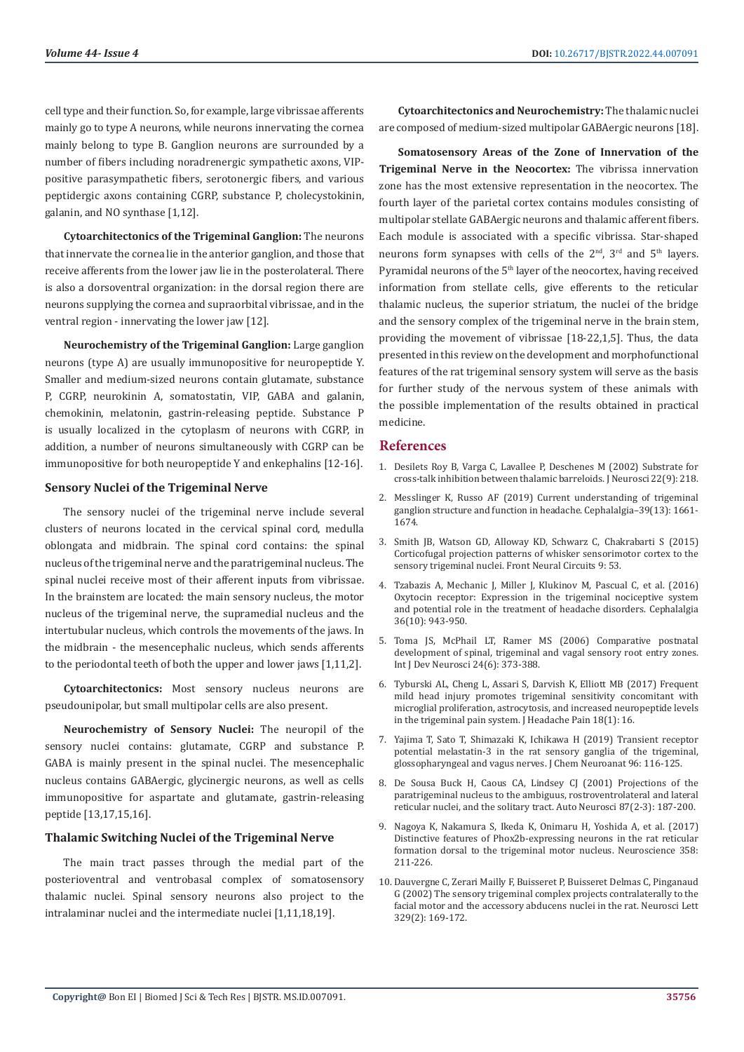cell type and their function. So, for example, large vibrissae afferents mainly go to type A neurons, while neurons innervating the cornea mainly belong to type B. Ganglion neurons are surrounded by a number of fibers including noradrenergic sympathetic axons, VIPpositive parasympathetic fibers, serotonergic fibers, and various peptidergic axons containing CGRP, substance P, cholecystokinin, galanin, and NO synthase [1,12].

**Cytoarchitectonics of the Trigeminal Ganglion:** The neurons that innervate the cornea lie in the anterior ganglion, and those that receive afferents from the lower jaw lie in the posterolateral. There is also a dorsoventral organization: in the dorsal region there are neurons supplying the cornea and supraorbital vibrissae, and in the ventral region - innervating the lower jaw [12].

**Neurochemistry of the Trigeminal Ganglion:** Large ganglion neurons (type A) are usually immunopositive for neuropeptide Y. Smaller and medium-sized neurons contain glutamate, substance P, CGRP, neurokinin A, somatostatin, VIP, GABA and galanin, chemokinin, melatonin, gastrin-releasing peptide. Substance P is usually localized in the cytoplasm of neurons with CGRP, in addition, a number of neurons simultaneously with CGRP can be immunopositive for both neuropeptide Y and enkephalins [12-16].

# **Sensory Nuclei of the Trigeminal Nerve**

The sensory nuclei of the trigeminal nerve include several clusters of neurons located in the cervical spinal cord, medulla oblongata and midbrain. The spinal cord contains: the spinal nucleus of the trigeminal nerve and the paratrigeminal nucleus. The spinal nuclei receive most of their afferent inputs from vibrissae. In the brainstem are located: the main sensory nucleus, the motor nucleus of the trigeminal nerve, the supramedial nucleus and the intertubular nucleus, which controls the movements of the jaws. In the midbrain - the mesencephalic nucleus, which sends afferents to the periodontal teeth of both the upper and lower jaws [1,11,2].

**Cytoarchitectonics:** Most sensory nucleus neurons are pseudounipolar, but small multipolar cells are also present.

**Neurochemistry of Sensory Nuclei:** The neuropil of the sensory nuclei contains: glutamate, CGRP and substance P. GABA is mainly present in the spinal nuclei. The mesencephalic nucleus contains GABAergic, glycinergic neurons, as well as cells immunopositive for aspartate and glutamate, gastrin-releasing peptide [13,17,15,16].

## **Thalamic Switching Nuclei of the Trigeminal Nerve**

The main tract passes through the medial part of the posterioventral and ventrobasal complex of somatosensory thalamic nuclei. Spinal sensory neurons also project to the intralaminar nuclei and the intermediate nuclei [1,11,18,19].

**Cytoarchitectonics and Neurochemistry:** The thalamic nuclei are composed of medium-sized multipolar GABAergic neurons [18].

**Somatosensory Areas of the Zone of Innervation of the Trigeminal Nerve in the Neocortex:** The vibrissa innervation zone has the most extensive representation in the neocortex. The fourth layer of the parietal cortex contains modules consisting of multipolar stellate GABAergic neurons and thalamic afferent fibers. Each module is associated with a specific vibrissa. Star-shaped neurons form synapses with cells of the  $2<sup>nd</sup>$ ,  $3<sup>rd</sup>$  and  $5<sup>th</sup>$  layers. Pyramidal neurons of the 5<sup>th</sup> layer of the neocortex, having received information from stellate cells, give efferents to the reticular thalamic nucleus, the superior striatum, the nuclei of the bridge and the sensory complex of the trigeminal nerve in the brain stem, providing the movement of vibrissae [18-22,1,5]. Thus, the data presented in this review on the development and morphofunctional features of the rat trigeminal sensory system will serve as the basis for further study of the nervous system of these animals with the possible implementation of the results obtained in practical medicine.

# **References**

- 1. [Desilets Roy B, Varga C, Lavallee P, Deschenes M \(2002\) Substrate for](https://pubmed.ncbi.nlm.nih.gov/11978859/) [cross-talk inhibition between thalamic barreloids. J Neurosci 22\(9\): 218.](https://pubmed.ncbi.nlm.nih.gov/11978859/)
- 2. [Messlinger K, Russo AF \(2019\) Current understanding of trigeminal](https://pubmed.ncbi.nlm.nih.gov/29989427/) [ganglion structure and function in headache. Cephalalgia–39\(13\): 1661-](https://pubmed.ncbi.nlm.nih.gov/29989427/) [1674.](https://pubmed.ncbi.nlm.nih.gov/29989427/)
- 3. [Smith JB, Watson GD, Alloway KD, Schwarz C, Chakrabarti S \(2015\)](https://www.researchgate.net/publication/308718356_Corticofugal_projection_patterns_of_whisker_sensorimotor_cortex_to_the_sensory_trigeminal_nuclei) [Corticofugal projection patterns of whisker sensorimotor cortex to the](https://www.researchgate.net/publication/308718356_Corticofugal_projection_patterns_of_whisker_sensorimotor_cortex_to_the_sensory_trigeminal_nuclei) [sensory trigeminal nuclei. Front Neural Circuits 9: 53.](https://www.researchgate.net/publication/308718356_Corticofugal_projection_patterns_of_whisker_sensorimotor_cortex_to_the_sensory_trigeminal_nuclei)
- 4. [Tzabazis A, Mechanic J, Miller J, Klukinov M, Pascual C, et al. \(2016\)](https://pubmed.ncbi.nlm.nih.gov/26590611/) [Oxytocin receptor: Expression in the trigeminal nociceptive system](https://pubmed.ncbi.nlm.nih.gov/26590611/) [and potential role in the treatment of headache disorders. Cephalalgia](https://pubmed.ncbi.nlm.nih.gov/26590611/) [36\(10\): 943-950.](https://pubmed.ncbi.nlm.nih.gov/26590611/)
- 5. [Toma JS, McPhail LT, Ramer MS \(2006\) Comparative postnatal](https://pubmed.ncbi.nlm.nih.gov/16911863/) [development of spinal, trigeminal and vagal sensory root entry zones.](https://pubmed.ncbi.nlm.nih.gov/16911863/) [Int J Dev Neurosci 24\(6\): 373-388.](https://pubmed.ncbi.nlm.nih.gov/16911863/)
- 6. [Tyburski AL, Cheng L, Assari S, Darvish K, Elliott MB \(2017\) Frequent](https://thejournalofheadacheandpain.biomedcentral.com/articles/10.1186/s10194-017-0726-1) [mild head injury promotes trigeminal sensitivity concomitant with](https://thejournalofheadacheandpain.biomedcentral.com/articles/10.1186/s10194-017-0726-1) [microglial proliferation, astrocytosis, and increased neuropeptide levels](https://thejournalofheadacheandpain.biomedcentral.com/articles/10.1186/s10194-017-0726-1) [in the trigeminal pain system. J Headache Pain 18\(1\): 16.](https://thejournalofheadacheandpain.biomedcentral.com/articles/10.1186/s10194-017-0726-1)
- 7. [Yajima T, Sato T, Shimazaki K, Ichikawa H \(2019\) Transient receptor](https://pubmed.ncbi.nlm.nih.gov/30639448/) [potential melastatin-3 in the rat sensory ganglia of the trigeminal,](https://pubmed.ncbi.nlm.nih.gov/30639448/) [glossopharyngeal and vagus nerves. J Chem Neuroanat 96: 116-125.](https://pubmed.ncbi.nlm.nih.gov/30639448/)
- 8. [De Sousa Buck H, Caous CA, Lindsey CJ \(2001\) Projections of the](https://pubmed.ncbi.nlm.nih.gov/11476279/) [paratrigeminal nucleus to the ambiguus, rostroventrolateral and lateral](https://pubmed.ncbi.nlm.nih.gov/11476279/) [reticular nuclei, and the solitary tract. Auto Neurosci 87\(2-3\): 187-200.](https://pubmed.ncbi.nlm.nih.gov/11476279/)
- 9. [Nagoya K, Nakamura S, Ikeda K, Onimaru H, Yoshida A, et al. \(2017\)](https://www.researchgate.net/publication/318083343_Distinctive_features_of_Phox2b-expressing_neurons_in_the_rat_reticular_formation_dorsal_to_the_trigeminal_motor_nucleus) [Distinctive features of Phox2b-expressing neurons in the rat reticular](https://www.researchgate.net/publication/318083343_Distinctive_features_of_Phox2b-expressing_neurons_in_the_rat_reticular_formation_dorsal_to_the_trigeminal_motor_nucleus) [formation dorsal to the trigeminal motor nucleus. Neuroscience 358:](https://www.researchgate.net/publication/318083343_Distinctive_features_of_Phox2b-expressing_neurons_in_the_rat_reticular_formation_dorsal_to_the_trigeminal_motor_nucleus) [211-226.](https://www.researchgate.net/publication/318083343_Distinctive_features_of_Phox2b-expressing_neurons_in_the_rat_reticular_formation_dorsal_to_the_trigeminal_motor_nucleus)
- 10. [Dauvergne C, Zerari Mailly F, Buisseret P, Buisseret Delmas C, Pinganaud](https://pubmed.ncbi.nlm.nih.gov/12165404/) [G \(2002\) The sensory trigeminal complex projects contralaterally to the](https://pubmed.ncbi.nlm.nih.gov/12165404/) [facial motor and the accessory abducens nuclei in the rat. Neurosci Lett](https://pubmed.ncbi.nlm.nih.gov/12165404/) [329\(2\): 169-172.](https://pubmed.ncbi.nlm.nih.gov/12165404/)